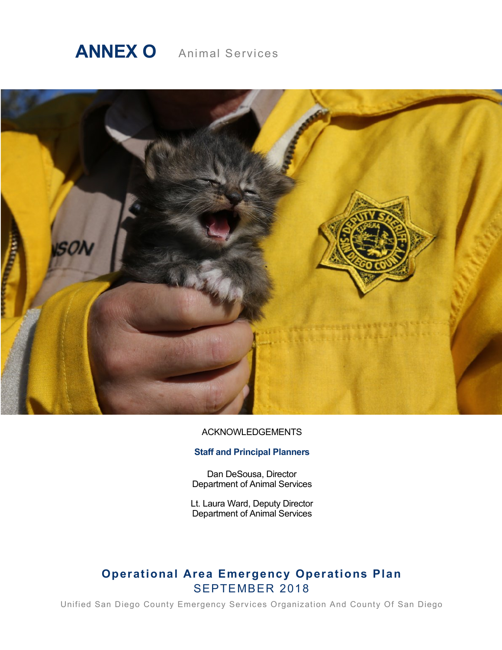# **ANNEX O** Animal Services



#### ACKNOWLEDGEMENTS

# **Staff and Principal Planners**

Dan DeSousa, Director Department of Animal Services

Lt. Laura Ward, Deputy Director Department of Animal Services

# **Operational Area Emergency Operations Plan** SEPTEMBER 2018

Unified San Diego County Emergency Services Organization And County Of San Diego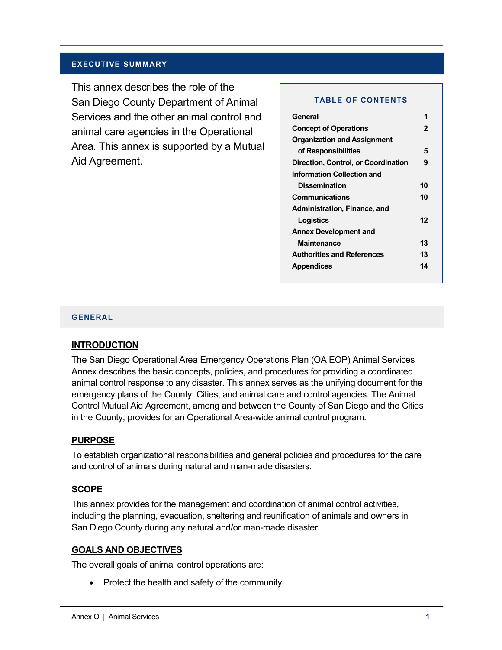#### **EXECUTIVE SUMMARY**

This annex describes the role of the San Diego County Department of Animal Services and the other animal control and animal care agencies in the Operational Area. This annex is supported by a Mutual Aid Agreement.

#### **TABLE OF CONTENTS**

| General                             |    |
|-------------------------------------|----|
| <b>Concept of Operations</b>        | 2  |
| <b>Organization and Assignment</b>  |    |
| of Responsibilities                 | 5  |
| Direction, Control, or Coordination | 9  |
| Information Collection and          |    |
| <b>Dissemination</b>                | 10 |
| <b>Communications</b>               | 10 |
| Administration, Finance, and        |    |
| Logistics                           | 12 |
| <b>Annex Development and</b>        |    |
| Maintenance                         | 13 |
| <b>Authorities and References</b>   | 13 |
| Appendices                          | 14 |

#### **GENERAL**

#### **INTRODUCTION**

The San Diego Operational Area Emergency Operations Plan (OA EOP) Animal Services Annex describes the basic concepts, policies, and procedures for providing a coordinated animal control response to any disaster. This annex serves as the unifying document for the emergency plans of the County, Cities, and animal care and control agencies. The Animal Control Mutual Aid Agreement, among and between the County of San Diego and the Cities in the County, provides for an Operational Area-wide animal control program.

#### **PURPOSE**

To establish organizational responsibilities and general policies and procedures for the care and control of animals during natural and man-made disasters.

#### **SCOPE**

This annex provides for the management and coordination of animal control activities, including the planning, evacuation, sheltering and reunification of animals and owners in San Diego County during any natural and/or man-made disaster.

# **GOALS AND OBJECTIVES**

The overall goals of animal control operations are:

• Protect the health and safety of the community.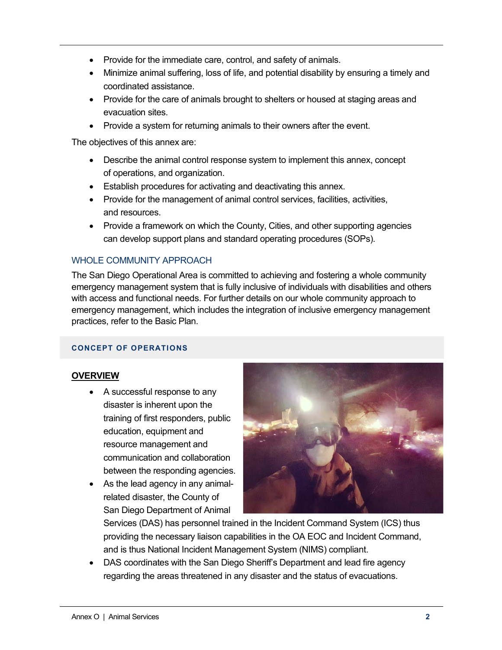- Provide for the immediate care, control, and safety of animals.
- Minimize animal suffering, loss of life, and potential disability by ensuring a timely and coordinated assistance.
- Provide for the care of animals brought to shelters or housed at staging areas and evacuation sites.
- Provide a system for returning animals to their owners after the event.

The objectives of this annex are:

- Describe the animal control response system to implement this annex, concept of operations, and organization.
- Establish procedures for activating and deactivating this annex.
- Provide for the management of animal control services, facilities, activities, and resources.
- Provide a framework on which the County, Cities, and other supporting agencies can develop support plans and standard operating procedures (SOPs).

# WHOLE COMMUNITY APPROACH

The San Diego Operational Area is committed to achieving and fostering a whole community emergency management system that is fully inclusive of individuals with disabilities and others with access and functional needs. For further details on our whole community approach to emergency management, which includes the integration of inclusive emergency management practices, refer to the Basic Plan.

# **CONCEPT OF OPERATIONS**

# **OVERVIEW**

- A successful response to any disaster is inherent upon the training of first responders, public education, equipment and resource management and communication and collaboration between the responding agencies.
- As the lead agency in any animalrelated disaster, the County of San Diego Department of Animal



Services (DAS) has personnel trained in the Incident Command System (ICS) thus providing the necessary liaison capabilities in the OA EOC and Incident Command, and is thus National Incident Management System (NIMS) compliant.

• DAS coordinates with the San Diego Sheriff's Department and lead fire agency regarding the areas threatened in any disaster and the status of evacuations.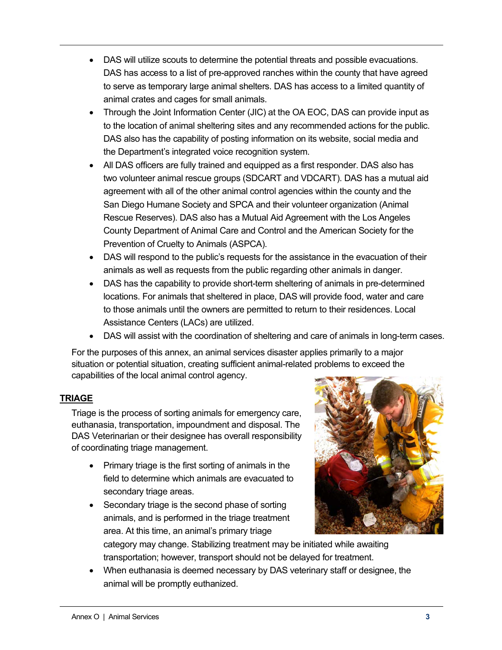- DAS will utilize scouts to determine the potential threats and possible evacuations. DAS has access to a list of pre-approved ranches within the county that have agreed to serve as temporary large animal shelters. DAS has access to a limited quantity of animal crates and cages for small animals.
- Through the Joint Information Center (JIC) at the OA EOC, DAS can provide input as to the location of animal sheltering sites and any recommended actions for the public. DAS also has the capability of posting information on its website, social media and the Department's integrated voice recognition system.
- All DAS officers are fully trained and equipped as a first responder. DAS also has two volunteer animal rescue groups (SDCART and VDCART). DAS has a mutual aid agreement with all of the other animal control agencies within the county and the San Diego Humane Society and SPCA and their volunteer organization (Animal Rescue Reserves). DAS also has a Mutual Aid Agreement with the Los Angeles County Department of Animal Care and Control and the American Society for the Prevention of Cruelty to Animals (ASPCA).
- DAS will respond to the public's requests for the assistance in the evacuation of their animals as well as requests from the public regarding other animals in danger.
- DAS has the capability to provide short-term sheltering of animals in pre-determined locations. For animals that sheltered in place, DAS will provide food, water and care to those animals until the owners are permitted to return to their residences. Local Assistance Centers (LACs) are utilized.
- DAS will assist with the coordination of sheltering and care of animals in long-term cases.

For the purposes of this annex, an animal services disaster applies primarily to a major situation or potential situation, creating sufficient animal-related problems to exceed the capabilities of the local animal control agency.

# **TRIAGE**

Triage is the process of sorting animals for emergency care, euthanasia, transportation, impoundment and disposal. The DAS Veterinarian or their designee has overall responsibility of coordinating triage management.

- Primary triage is the first sorting of animals in the field to determine which animals are evacuated to secondary triage areas.
- Secondary triage is the second phase of sorting animals, and is performed in the triage treatment area. At this time, an animal's primary triage



category may change. Stabilizing treatment may be initiated while awaiting transportation; however, transport should not be delayed for treatment.

• When euthanasia is deemed necessary by DAS veterinary staff or designee, the animal will be promptly euthanized.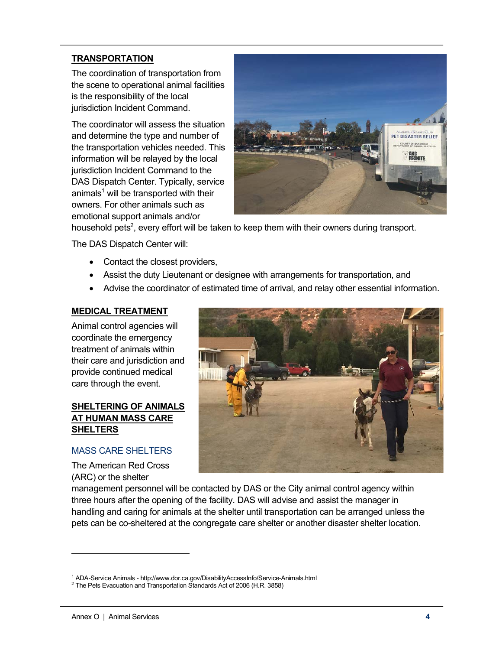# **TRANSPORTATION**

The coordination of transportation from the scene to operational animal facilities is the responsibility of the local jurisdiction Incident Command.

The coordinator will assess the situation and determine the type and number of the transportation vehicles needed. This information will be relayed by the local jurisdiction Incident Command to the DAS Dispatch Center. Typically, service animals<sup>1</sup> will be transported with their owners. For other animals such as emotional support animals and/or



household pets<sup>2</sup>, every effort will be taken to keep them with their owners during transport.

The DAS Dispatch Center will:

- Contact the closest providers,
- Assist the duty Lieutenant or designee with arrangements for transportation, and
- Advise the coordinator of estimated time of arrival, and relay other essential information.

# **MEDICAL TREATMENT**

Animal control agencies will coordinate the emergency treatment of animals within their care and jurisdiction and provide continued medical care through the event.

# **SHELTERING OF ANIMALS AT HUMAN MASS CARE SHELTERS**

# MASS CARE SHELTERS

The American Red Cross (ARC) or the shelter



management personnel will be contacted by DAS or the City animal control agency within three hours after the opening of the facility. DAS will advise and assist the manager in handling and caring for animals at the shelter until transportation can be arranged unless the pets can be co-sheltered at the congregate care shelter or another disaster shelter location.

-

<sup>&</sup>lt;sup>1</sup> ADA-Service Animals - http://www.dor.ca.gov/DisabilityAccessInfo/Service-Animals.html

 $2$  The Pets Evacuation and Transportation Standards Act of 2006 (H.R. 3858)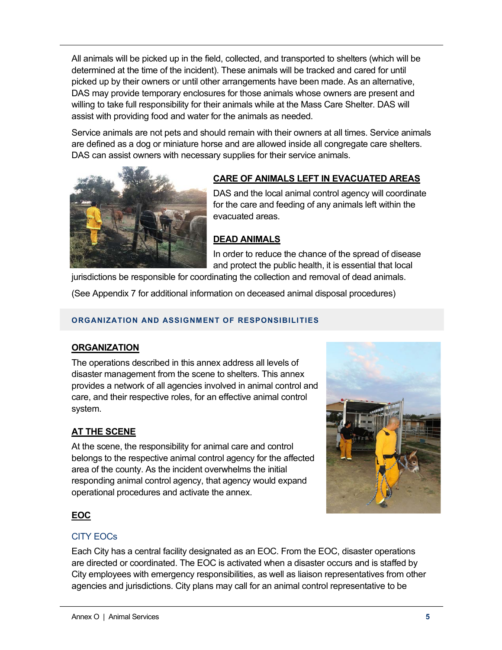All animals will be picked up in the field, collected, and transported to shelters (which will be determined at the time of the incident). These animals will be tracked and cared for until picked up by their owners or until other arrangements have been made. As an alternative, DAS may provide temporary enclosures for those animals whose owners are present and willing to take full responsibility for their animals while at the Mass Care Shelter. DAS will assist with providing food and water for the animals as needed.

Service animals are not pets and should remain with their owners at all times. Service animals are defined as a dog or miniature horse and are allowed inside all congregate care shelters. DAS can assist owners with necessary supplies for their service animals.



# **CARE OF ANIMALS LEFT IN EVACUATED AREAS**

DAS and the local animal control agency will coordinate for the care and feeding of any animals left within the evacuated areas.

# **DEAD ANIMALS**

In order to reduce the chance of the spread of disease and protect the public health, it is essential that local

jurisdictions be responsible for coordinating the collection and removal of dead animals.

(See Appendix 7 for additional information on deceased animal disposal procedures)

# **ORGANIZATION AND ASSIGNMENT OF RESPONSIBILITIES**

# **ORGANIZATION**

The operations described in this annex address all levels of disaster management from the scene to shelters. This annex provides a network of all agencies involved in animal control and care, and their respective roles, for an effective animal control system.

# **AT THE SCENE**

At the scene, the responsibility for animal care and control belongs to the respective animal control agency for the affected area of the county. As the incident overwhelms the initial responding animal control agency, that agency would expand operational procedures and activate the annex.



# **EOC**

# CITY EOCs

Each City has a central facility designated as an EOC. From the EOC, disaster operations are directed or coordinated. The EOC is activated when a disaster occurs and is staffed by City employees with emergency responsibilities, as well as liaison representatives from other agencies and jurisdictions. City plans may call for an animal control representative to be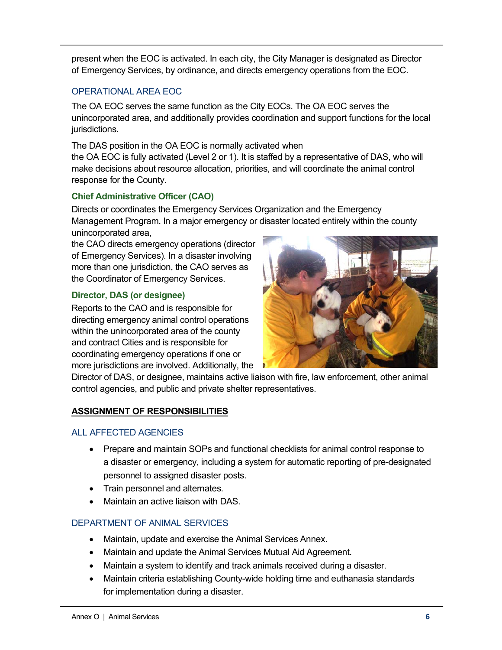present when the EOC is activated. In each city, the City Manager is designated as Director of Emergency Services, by ordinance, and directs emergency operations from the EOC.

# OPERATIONAL AREA EOC

The OA EOC serves the same function as the City EOCs. The OA EOC serves the unincorporated area, and additionally provides coordination and support functions for the local jurisdictions.

The DAS position in the OA EOC is normally activated when the OA EOC is fully activated (Level 2 or 1). It is staffed by a representative of DAS, who will make decisions about resource allocation, priorities, and will coordinate the animal control response for the County.

# **Chief Administrative Officer (CAO)**

Directs or coordinates the Emergency Services Organization and the Emergency Management Program. In a major emergency or disaster located entirely within the county unincorporated area,

the CAO directs emergency operations (director of Emergency Services). In a disaster involving more than one jurisdiction, the CAO serves as the Coordinator of Emergency Services.

# **Director, DAS (or designee)**

Reports to the CAO and is responsible for directing emergency animal control operations within the unincorporated area of the county and contract Cities and is responsible for coordinating emergency operations if one or more jurisdictions are involved. Additionally, the



Director of DAS, or designee, maintains active liaison with fire, law enforcement, other animal control agencies, and public and private shelter representatives.

# **ASSIGNMENT OF RESPONSIBILITIES**

# ALL AFFECTED AGENCIES

- Prepare and maintain SOPs and functional checklists for animal control response to a disaster or emergency, including a system for automatic reporting of pre-designated personnel to assigned disaster posts.
- Train personnel and alternates.
- Maintain an active liaison with DAS.

# DEPARTMENT OF ANIMAL SERVICES

- Maintain, update and exercise the Animal Services Annex.
- Maintain and update the Animal Services Mutual Aid Agreement.
- Maintain a system to identify and track animals received during a disaster.
- Maintain criteria establishing County-wide holding time and euthanasia standards for implementation during a disaster.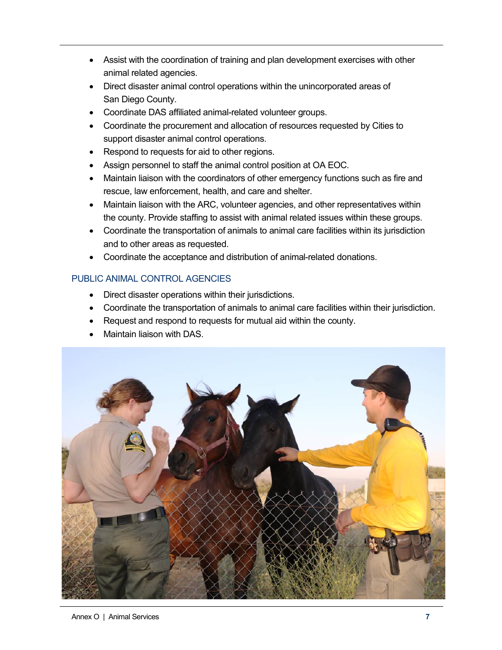- Assist with the coordination of training and plan development exercises with other animal related agencies.
- Direct disaster animal control operations within the unincorporated areas of San Diego County.
- Coordinate DAS affiliated animal-related volunteer groups.
- Coordinate the procurement and allocation of resources requested by Cities to support disaster animal control operations.
- Respond to requests for aid to other regions.
- Assign personnel to staff the animal control position at OA EOC.
- Maintain liaison with the coordinators of other emergency functions such as fire and rescue, law enforcement, health, and care and shelter.
- Maintain liaison with the ARC, volunteer agencies, and other representatives within the county. Provide staffing to assist with animal related issues within these groups.
- Coordinate the transportation of animals to animal care facilities within its jurisdiction and to other areas as requested.
- Coordinate the acceptance and distribution of animal-related donations.

# PUBLIC ANIMAL CONTROL AGENCIES

- Direct disaster operations within their jurisdictions.
- Coordinate the transportation of animals to animal care facilities within their jurisdiction.
- Request and respond to requests for mutual aid within the county.
- Maintain liaison with DAS.

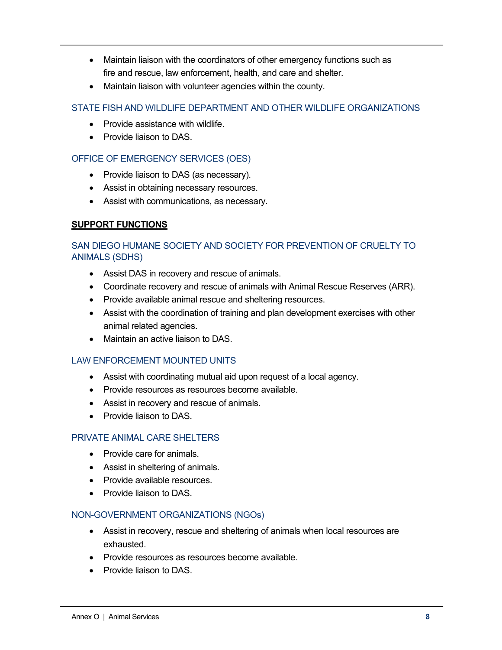- Maintain liaison with the coordinators of other emergency functions such as fire and rescue, law enforcement, health, and care and shelter.
- Maintain liaison with volunteer agencies within the county.

# STATE FISH AND WILDLIFE DEPARTMENT AND OTHER WILDLIFE ORGANIZATIONS

- Provide assistance with wildlife
- Provide liaison to DAS.

# OFFICE OF EMERGENCY SERVICES (OES)

- Provide liaison to DAS (as necessary).
- Assist in obtaining necessary resources.
- Assist with communications, as necessary.

# **SUPPORT FUNCTIONS**

# SAN DIEGO HUMANE SOCIETY AND SOCIETY FOR PREVENTION OF CRUELTY TO ANIMALS (SDHS)

- Assist DAS in recovery and rescue of animals.
- Coordinate recovery and rescue of animals with Animal Rescue Reserves (ARR).
- Provide available animal rescue and sheltering resources.
- Assist with the coordination of training and plan development exercises with other animal related agencies.
- Maintain an active liaison to DAS.

# LAW ENFORCEMENT MOUNTED UNITS

- Assist with coordinating mutual aid upon request of a local agency.
- Provide resources as resources become available.
- Assist in recovery and rescue of animals.
- Provide liaison to DAS.

# PRIVATE ANIMAL CARE SHELTERS

- Provide care for animals.
- Assist in sheltering of animals.
- Provide available resources.
- Provide liaison to DAS.

# NON-GOVERNMENT ORGANIZATIONS (NGOs)

- Assist in recovery, rescue and sheltering of animals when local resources are exhausted.
- Provide resources as resources become available.
- Provide liaison to DAS.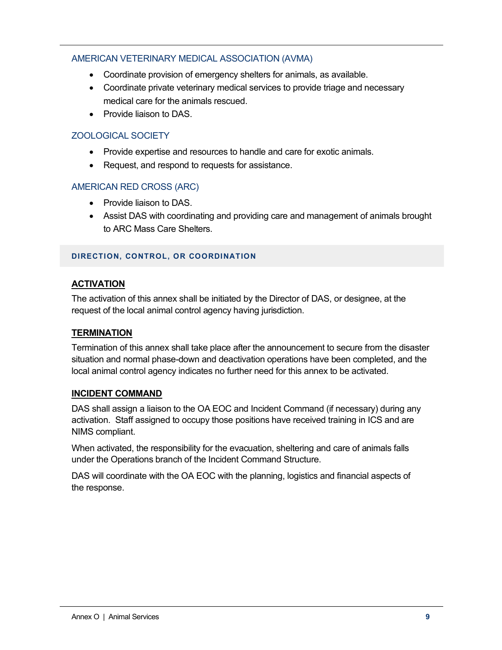# AMERICAN VETERINARY MEDICAL ASSOCIATION (AVMA)

- Coordinate provision of emergency shelters for animals, as available.
- Coordinate private veterinary medical services to provide triage and necessary medical care for the animals rescued.
- Provide liaison to DAS.

# ZOOLOGICAL SOCIETY

- Provide expertise and resources to handle and care for exotic animals.
- Request, and respond to requests for assistance.

#### AMERICAN RED CROSS (ARC)

- Provide liaison to DAS.
- Assist DAS with coordinating and providing care and management of animals brought to ARC Mass Care Shelters.

#### **DIRECTION, CONTROL, OR COORDINATION**

# **ACTIVATION**

The activation of this annex shall be initiated by the Director of DAS, or designee, at the request of the local animal control agency having jurisdiction.

#### **TERMINATION**

Termination of this annex shall take place after the announcement to secure from the disaster situation and normal phase-down and deactivation operations have been completed, and the local animal control agency indicates no further need for this annex to be activated.

#### **INCIDENT COMMAND**

DAS shall assign a liaison to the OA EOC and Incident Command (if necessary) during any activation. Staff assigned to occupy those positions have received training in ICS and are NIMS compliant.

When activated, the responsibility for the evacuation, sheltering and care of animals falls under the Operations branch of the Incident Command Structure.

DAS will coordinate with the OA EOC with the planning, logistics and financial aspects of the response.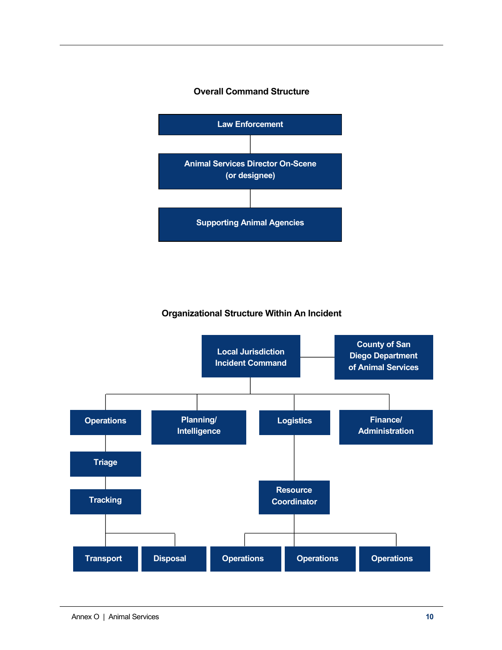#### **Overall Command Structure**



# **Organizational Structure Within An Incident**

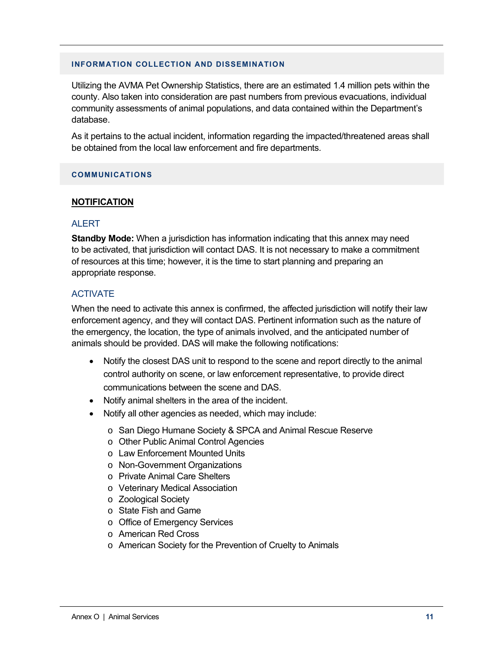#### **INFORMATION COLLECTION AND DISSEMINATION**

Utilizing the AVMA Pet Ownership Statistics, there are an estimated 1.4 million pets within the county. Also taken into consideration are past numbers from previous evacuations, individual community assessments of animal populations, and data contained within the Department's database.

As it pertains to the actual incident, information regarding the impacted/threatened areas shall be obtained from the local law enforcement and fire departments.

#### **COMMUNICATIONS**

#### **NOTIFICATION**

#### **ALERT**

**Standby Mode:** When a jurisdiction has information indicating that this annex may need to be activated, that jurisdiction will contact DAS. It is not necessary to make a commitment of resources at this time; however, it is the time to start planning and preparing an appropriate response.

#### ACTIVATE

When the need to activate this annex is confirmed, the affected jurisdiction will notify their law enforcement agency, and they will contact DAS. Pertinent information such as the nature of the emergency, the location, the type of animals involved, and the anticipated number of animals should be provided. DAS will make the following notifications:

- Notify the closest DAS unit to respond to the scene and report directly to the animal control authority on scene, or law enforcement representative, to provide direct communications between the scene and DAS.
- Notify animal shelters in the area of the incident.
- Notify all other agencies as needed, which may include:
	- o San Diego Humane Society & SPCA and Animal Rescue Reserve
	- o Other Public Animal Control Agencies
	- o Law Enforcement Mounted Units
	- o Non-Government Organizations
	- o Private Animal Care Shelters
	- o Veterinary Medical Association
	- o Zoological Society
	- o State Fish and Game
	- o Office of Emergency Services
	- o American Red Cross
	- o American Society for the Prevention of Cruelty to Animals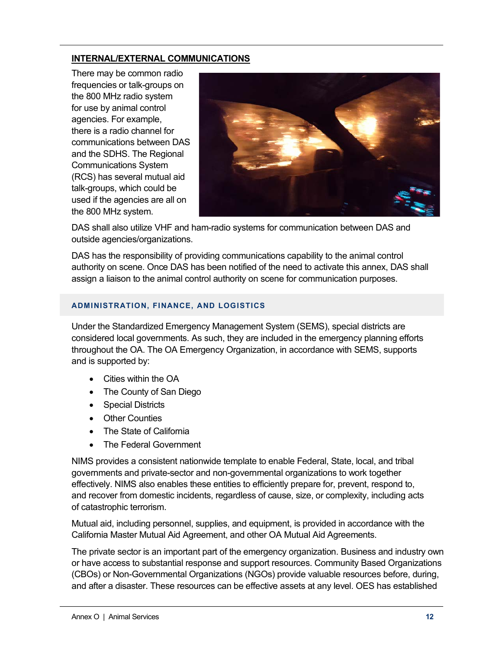# **INTERNAL/EXTERNAL COMMUNICATIONS**

There may be common radio frequencies or talk-groups on the 800 MHz radio system for use by animal control agencies. For example, there is a radio channel for communications between DAS and the SDHS. The Regional Communications System (RCS) has several mutual aid talk-groups, which could be used if the agencies are all on the 800 MHz system.



DAS shall also utilize VHF and ham-radio systems for communication between DAS and outside agencies/organizations.

DAS has the responsibility of providing communications capability to the animal control authority on scene. Once DAS has been notified of the need to activate this annex, DAS shall assign a liaison to the animal control authority on scene for communication purposes.

#### **ADMINISTRATION, FINANCE, AND LOGISTICS**

Under the Standardized Emergency Management System (SEMS), special districts are considered local governments. As such, they are included in the emergency planning efforts throughout the OA. The OA Emergency Organization, in accordance with SEMS, supports and is supported by:

- Cities within the OA
- The County of San Diego
- Special Districts
- Other Counties
- The State of California
- The Federal Government

NIMS provides a consistent nationwide template to enable Federal, State, local, and tribal governments and private-sector and non-governmental organizations to work together effectively. NIMS also enables these entities to efficiently prepare for, prevent, respond to, and recover from domestic incidents, regardless of cause, size, or complexity, including acts of catastrophic terrorism.

Mutual aid, including personnel, supplies, and equipment, is provided in accordance with the California Master Mutual Aid Agreement, and other OA Mutual Aid Agreements.

The private sector is an important part of the emergency organization. Business and industry own or have access to substantial response and support resources. Community Based Organizations (CBOs) or Non-Governmental Organizations (NGOs) provide valuable resources before, during, and after a disaster. These resources can be effective assets at any level. OES has established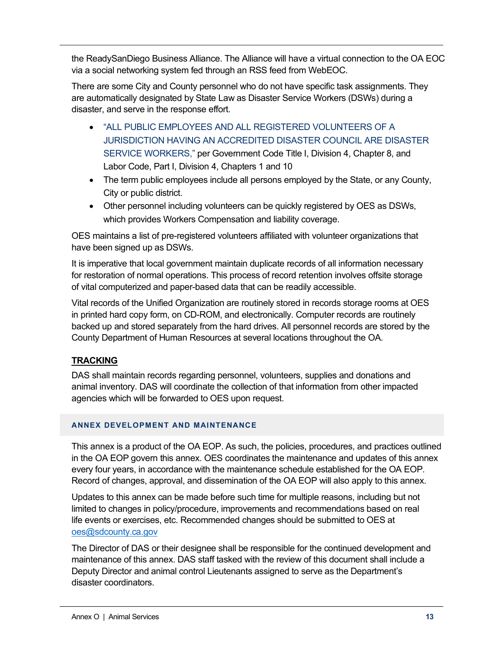the ReadySanDiego Business Alliance. The Alliance will have a virtual connection to the OA EOC via a social networking system fed through an RSS feed from WebEOC.

There are some City and County personnel who do not have specific task assignments. They are automatically designated by State Law as Disaster Service Workers (DSWs) during a disaster, and serve in the response effort.

- "ALL PUBLIC EMPLOYEES AND ALL REGISTERED VOLUNTEERS OF A JURISDICTION HAVING AN ACCREDITED DISASTER COUNCIL ARE DISASTER SERVICE WORKERS," per Government Code Title I, Division 4, Chapter 8, and Labor Code, Part I, Division 4, Chapters 1 and 10
- The term public employees include all persons employed by the State, or any County, City or public district.
- Other personnel including volunteers can be quickly registered by OES as DSWs, which provides Workers Compensation and liability coverage.

OES maintains a list of pre-registered volunteers affiliated with volunteer organizations that have been signed up as DSWs.

It is imperative that local government maintain duplicate records of all information necessary for restoration of normal operations. This process of record retention involves offsite storage of vital computerized and paper-based data that can be readily accessible.

Vital records of the Unified Organization are routinely stored in records storage rooms at OES in printed hard copy form, on CD-ROM, and electronically. Computer records are routinely backed up and stored separately from the hard drives. All personnel records are stored by the County Department of Human Resources at several locations throughout the OA.

# **TRACKING**

DAS shall maintain records regarding personnel, volunteers, supplies and donations and animal inventory. DAS will coordinate the collection of that information from other impacted agencies which will be forwarded to OES upon request.

# **ANNEX DEVELOPMENT AND MAINTENANCE**

This annex is a product of the OA EOP. As such, the policies, procedures, and practices outlined in the OA EOP govern this annex. OES coordinates the maintenance and updates of this annex every four years, in accordance with the maintenance schedule established for the OA EOP. Record of changes, approval, and dissemination of the OA EOP will also apply to this annex.

Updates to this annex can be made before such time for multiple reasons, including but not limited to changes in policy/procedure, improvements and recommendations based on real life events or exercises, etc. Recommended changes should be submitted to OES at oes@sdcounty.ca.gov

The Director of DAS or their designee shall be responsible for the continued development and maintenance of this annex. DAS staff tasked with the review of this document shall include a Deputy Director and animal control Lieutenants assigned to serve as the Department's disaster coordinators.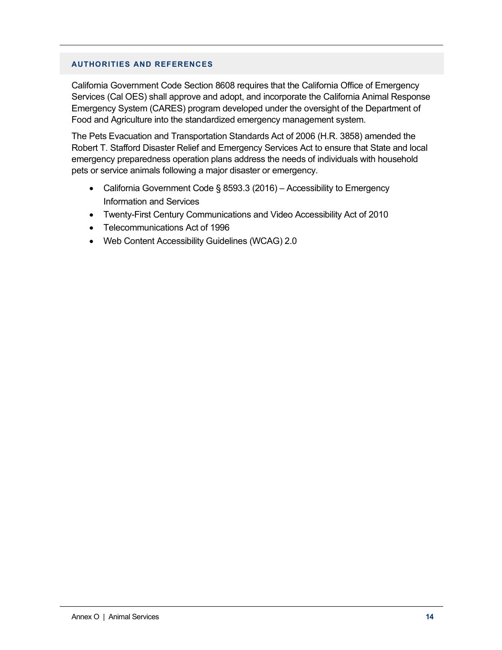#### **AUTHORITIES AND REFERENCES**

California Government Code Section 8608 requires that the California Office of Emergency Services (Cal OES) shall approve and adopt, and incorporate the California Animal Response Emergency System (CARES) program developed under the oversight of the Department of Food and Agriculture into the standardized emergency management system.

The Pets Evacuation and Transportation Standards Act of 2006 (H.R. 3858) amended the Robert T. Stafford Disaster Relief and Emergency Services Act to ensure that State and local emergency preparedness operation plans address the needs of individuals with household pets or service animals following a major disaster or emergency.

- California Government Code § 8593.3 (2016) Accessibility to Emergency Information and Services
- Twenty-First Century Communications and Video Accessibility Act of 2010
- Telecommunications Act of 1996
- Web Content Accessibility Guidelines (WCAG) 2.0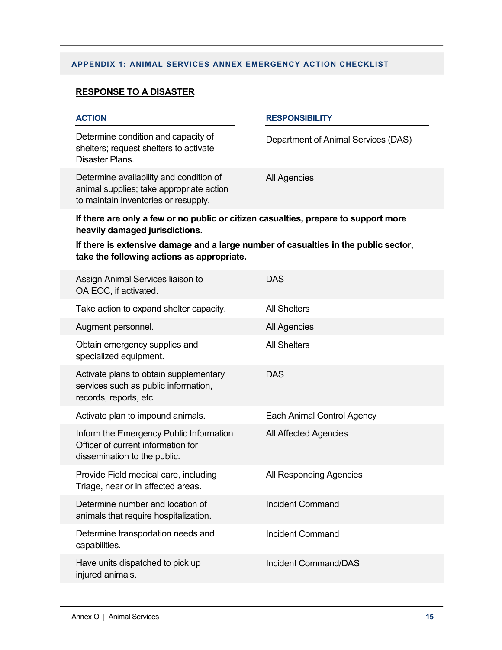# **APPENDIX 1: ANIMAL SERVICES ANNEX EMERGENCY ACTION CHECKLIST**

# **RESPONSE TO A DISASTER**

| <b>ACTION</b>                                                                                                               | <b>RESPONSIBILITY</b>               |  |
|-----------------------------------------------------------------------------------------------------------------------------|-------------------------------------|--|
| Determine condition and capacity of<br>shelters; request shelters to activate<br>Disaster Plans.                            | Department of Animal Services (DAS) |  |
| Determine availability and condition of<br>animal supplies; take appropriate action<br>to maintain inventories or resupply. | All Agencies                        |  |
| If there are only a few or no public or citizen casualties, prepare to support more<br>heavily damaged jurisdictions.       |                                     |  |

**If there is extensive damage and a large number of casualties in the public sector, take the following actions as appropriate.**

| Assign Animal Services liaison to<br>OA EOC, if activated.                                                    | <b>DAS</b>                  |
|---------------------------------------------------------------------------------------------------------------|-----------------------------|
| Take action to expand shelter capacity.                                                                       | <b>All Shelters</b>         |
| Augment personnel.                                                                                            | All Agencies                |
| Obtain emergency supplies and<br>specialized equipment.                                                       | <b>All Shelters</b>         |
| Activate plans to obtain supplementary<br>services such as public information,<br>records, reports, etc.      | <b>DAS</b>                  |
| Activate plan to impound animals.                                                                             | Each Animal Control Agency  |
| Inform the Emergency Public Information<br>Officer of current information for<br>dissemination to the public. | All Affected Agencies       |
| Provide Field medical care, including<br>Triage, near or in affected areas.                                   | All Responding Agencies     |
| Determine number and location of<br>animals that require hospitalization.                                     | Incident Command            |
| Determine transportation needs and<br>capabilities.                                                           | Incident Command            |
| Have units dispatched to pick up<br>injured animals.                                                          | <b>Incident Command/DAS</b> |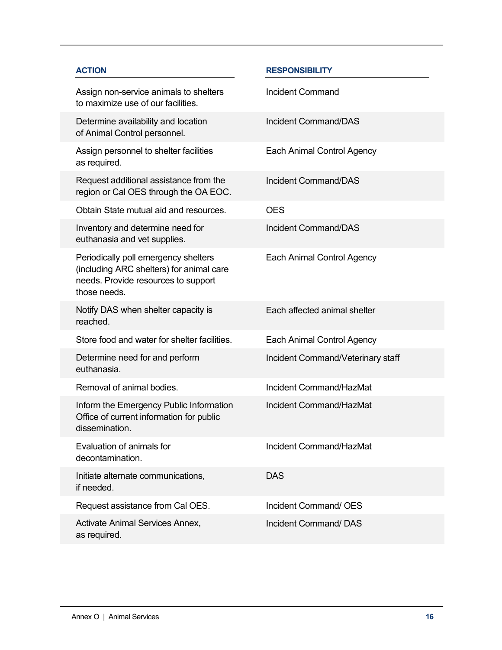| <b>ACTION</b>                                                                                                                           | <b>RESPONSIBILITY</b>             |
|-----------------------------------------------------------------------------------------------------------------------------------------|-----------------------------------|
| Assign non-service animals to shelters<br>to maximize use of our facilities.                                                            | <b>Incident Command</b>           |
| Determine availability and location<br>of Animal Control personnel.                                                                     | <b>Incident Command/DAS</b>       |
| Assign personnel to shelter facilities<br>as required.                                                                                  | Each Animal Control Agency        |
| Request additional assistance from the<br>region or Cal OES through the OA EOC.                                                         | <b>Incident Command/DAS</b>       |
| Obtain State mutual aid and resources.                                                                                                  | <b>OES</b>                        |
| Inventory and determine need for<br>euthanasia and vet supplies.                                                                        | <b>Incident Command/DAS</b>       |
| Periodically poll emergency shelters<br>(including ARC shelters) for animal care<br>needs. Provide resources to support<br>those needs. | Each Animal Control Agency        |
| Notify DAS when shelter capacity is<br>reached.                                                                                         | Each affected animal shelter      |
| Store food and water for shelter facilities.                                                                                            | Each Animal Control Agency        |
| Determine need for and perform<br>euthanasia.                                                                                           | Incident Command/Veterinary staff |
| Removal of animal bodies.                                                                                                               | Incident Command/HazMat           |
| Inform the Emergency Public Information<br>Office of current information for public<br>dissemination.                                   | Incident Command/HazMat           |
| Evaluation of animals for<br>decontamination.                                                                                           | Incident Command/HazMat           |
| Initiate alternate communications,<br>if needed.                                                                                        | <b>DAS</b>                        |
| Request assistance from Cal OES.                                                                                                        | Incident Command/ OES             |
| Activate Animal Services Annex,<br>as required.                                                                                         | Incident Command/DAS              |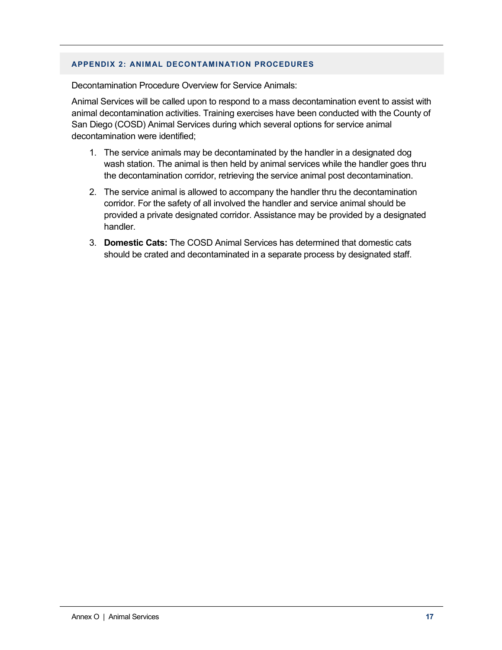#### **APPENDIX 2: ANIMAL DECONTAMINATION PROCEDURES**

Decontamination Procedure Overview for Service Animals:

Animal Services will be called upon to respond to a mass decontamination event to assist with animal decontamination activities. Training exercises have been conducted with the County of San Diego (COSD) Animal Services during which several options for service animal decontamination were identified;

- 1. The service animals may be decontaminated by the handler in a designated dog wash station. The animal is then held by animal services while the handler goes thru the decontamination corridor, retrieving the service animal post decontamination.
- 2. The service animal is allowed to accompany the handler thru the decontamination corridor. For the safety of all involved the handler and service animal should be provided a private designated corridor. Assistance may be provided by a designated handler.
- 3. **Domestic Cats:** The COSD Animal Services has determined that domestic cats should be crated and decontaminated in a separate process by designated staff.